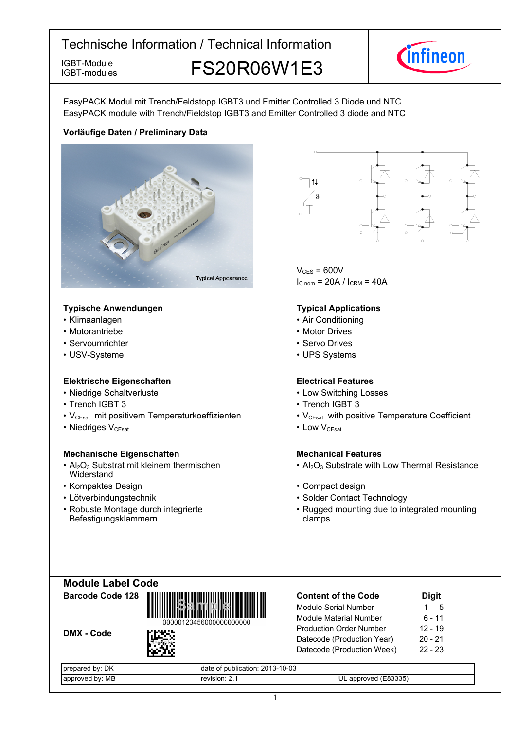

IGBT-Module **FS20R06W1E3** 



EasyPACK Modul mit Trench/Feldstopp IGBT3 und Emitter Controlled 3 Diode und NTC EasyPACK module with Trench/Fieldstop IGBT3 and Emitter Controlled 3 diode and NTC

#### **Vorläufige-Daten-/-Preliminary-Data**



#### **Typische-Anwendungen Typical-**

- Klimaanlagen
- Motorantriebe
- Servoumrichter
- USV-Systeme

#### **Elektrische Eigenschaften Electrical-**

- Niedrige-Schaltverluste Low-
- Trench IGBT
- V<sub>CEsat</sub> mit positivem Temperaturkoeffizienten V<sub>CEsat</sub>
- Niedriges V<sub>CEsat</sub>

#### **Mechanische Eigenschaften Mechanical-**

- $Al_2O_3$  Substrat mit kleinem thermischen **Widerstand**
- Kompaktes Design
- $\cdot$  Lötverbindungstechnik
- Robuste Montage durch integrierte Befestigungsklammern



 $V_{CFS}$  = 600V  $I_{C nom}$  = 20A /  $I_{CRM}$  = 40A

#### **Typical Applications**

- Air Conditioning
- Motor Drives
- Servo Drives
- UPS Systems

#### **Electrical Features**

- Switching Losses
- 3 Trench IGBT 3
	- with positive Temperature Coefficient
- $V_{\text{CEsat}}$  Low  $V_{\text{CEsat}}$

### **Mechanical Features**

- Al<sub>2</sub>O<sub>3</sub> Substrate with Low Thermal Resistance
- Design **begins and the Compact design Compact design** 
	- Contact Technology
	- Rugged mounting due to integrated mounting clamps

| <b>Module Label Code</b> |  |
|--------------------------|--|
| Barcode Code 128         |  |





| <b>Content of the Code</b>     | <b>Digit</b> |
|--------------------------------|--------------|
| Module Serial Number           | $1 - 5$      |
| <b>Module Material Number</b>  | $6 - 11$     |
| <b>Production Order Number</b> | $12 - 19$    |
| Datecode (Production Year)     | $20 - 21$    |
| Datecode (Production Week)     | $22 - 23$    |
|                                |              |

| DK<br>bv:<br>pre<br>pared:  | f publication: 2013-10-03<br>OL<br>ualc |                               |
|-----------------------------|-----------------------------------------|-------------------------------|
| МB<br>hv:<br>roven.<br>annr | usion<br>יועי                           | (E83335)<br>UL<br>חחור<br>anı |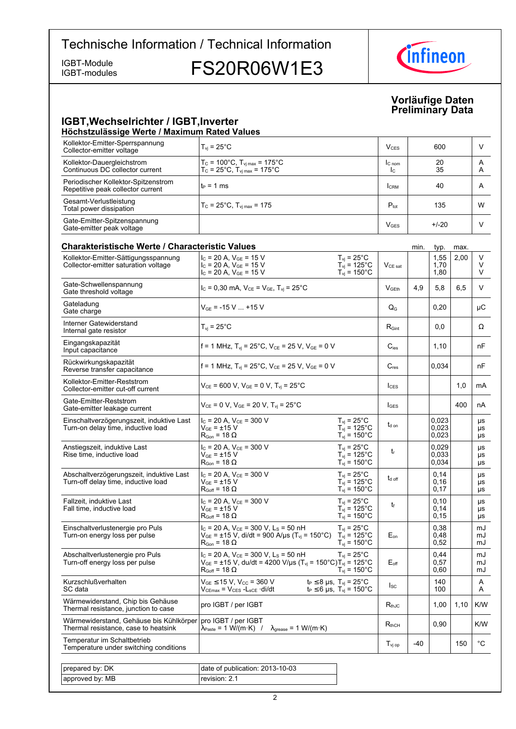IGBT-modules

IGBT-Module<br>IGBT-modules FS20R06W1E3



#### **Vorläufige-Daten Preliminary-Data**

#### **IGBT, Wechselrichter / IGBT, Inverter Höchstzulässige-Werte-/-Maximum-Rated-Values**

| Kollektor-Emitter-Sperrspannung<br>Collector-emitter voltage             | $T_{vi}$ = 25 $^{\circ}$ C                                                                                                                                                                | $V_{CFS}$                | 600      | V      |
|--------------------------------------------------------------------------|-------------------------------------------------------------------------------------------------------------------------------------------------------------------------------------------|--------------------------|----------|--------|
| Kollektor-Dauergleichstrom<br>Continuous DC collector current            | $\begin{cases} T_{\text{C}} = 100^{\circ} \text{C}, T_{\text{vj max}} = 175^{\circ} \text{C} \\ T_{\text{C}} = 25^{\circ} \text{C}, T_{\text{vj max}} = 175^{\circ} \text{C} \end{cases}$ | IC <sub>nom</sub><br>Ic. | 20<br>35 | A<br>A |
| Periodischer Kollektor-Spitzenstrom<br>Repetitive peak collector current | l t∍ = 1 ms                                                                                                                                                                               | <b>CRM</b>               | 40       | А      |
| Gesamt-Verlustleistung<br>Total power dissipation                        | $T_c = 25^{\circ}$ C, $T_{\text{vi max}} = 175$                                                                                                                                           | $P_{\text{tot}}$         | 135      | W      |
| Gate-Emitter-Spitzenspannung<br>Gate-emitter peak voltage                |                                                                                                                                                                                           | $V$ GES                  | $+/-20$  |        |

| Charakteristische Werte / Characteristic Values                                 |                                                                                                                                                                                   |                                                                                |                            | min. | typ.                    | max. |                       |
|---------------------------------------------------------------------------------|-----------------------------------------------------------------------------------------------------------------------------------------------------------------------------------|--------------------------------------------------------------------------------|----------------------------|------|-------------------------|------|-----------------------|
| Kollektor-Emitter-Sättigungsspannung<br>Collector-emitter saturation voltage    | $I_C$ = 20 A, $V_{GE}$ = 15 V<br>$I_C$ = 20 A, $V_{GE}$ = 15 V<br>$I_C = 20 A$ , $V_{GE} = 15 V$                                                                                  | $T_{vi}$ = 25°C<br>$T_{vi}$ = 125°C<br>$T_{vi}$ = 150 $^{\circ}$ C             | $V_{CE\ sat}$              |      | 1,55<br>1,70<br>1,80    | 2,00 | v<br>V<br>V           |
| Gate-Schwellenspannung<br>Gate threshold voltage                                | $I_c = 0,30$ mA, $V_{CE} = V_{GE}$ , $T_{vi} = 25^{\circ}$ C                                                                                                                      |                                                                                | V <sub>GEth</sub>          | 4,9  | 5,8                     | 6.5  | V                     |
| Gateladung<br>Gate charge                                                       | $V_{GF}$ = -15 V  +15 V                                                                                                                                                           |                                                                                | $Q_G$                      |      | 0,20                    |      | μC                    |
| Interner Gatewiderstand<br>Internal gate resistor                               | $T_{vi}$ = 25 $^{\circ}$ C                                                                                                                                                        |                                                                                | $R_{\text{Gint}}$          |      | 0.0                     |      | Ω                     |
| Eingangskapazität<br>Input capacitance                                          | f = 1 MHz, $T_{vi}$ = 25°C, $V_{CE}$ = 25 V, $V_{GE}$ = 0 V                                                                                                                       |                                                                                | $C_{\text{ies}}$           |      | 1,10                    |      | nF                    |
| Rückwirkungskapazität<br>Reverse transfer capacitance                           | f = 1 MHz, $T_{vi}$ = 25°C, $V_{CE}$ = 25 V, $V_{GE}$ = 0 V                                                                                                                       |                                                                                | $C_{res}$                  |      | 0,034                   |      | nF                    |
| Kollektor-Emitter-Reststrom<br>Collector-emitter cut-off current                | $V_{CE}$ = 600 V, $V_{GE}$ = 0 V, $T_{vi}$ = 25°C                                                                                                                                 |                                                                                | $I_{\text{CES}}$           |      |                         | 1,0  | mA                    |
| Gate-Emitter-Reststrom<br>Gate-emitter leakage current                          | $V_{CE}$ = 0 V, $V_{GE}$ = 20 V, $T_{vi}$ = 25°C                                                                                                                                  |                                                                                | <b>I</b> GES               |      |                         | 400  | nA                    |
| Einschaltverzögerungszeit, induktive Last<br>Turn-on delay time, inductive load | $I_C$ = 20 A, $V_{CE}$ = 300 V<br>$V_{GF}$ = ±15 V<br>$R_{\text{Gon}}$ = 18 $\Omega$                                                                                              | $T_{vi}$ = 25°C<br>$T_{vi}$ = 125°C<br>$T_{\text{vj}}$ = 150°C                 | $t_{d \text{ on}}$         |      | 0,023<br>0,023<br>0,023 |      | μs<br>μs<br>μs        |
| Anstiegszeit, induktive Last<br>Rise time, inductive load                       | $I_C = 20$ A, $V_{CE} = 300$ V<br>$V_{GE}$ = $\pm$ 15 V<br>$\mathsf{R}_{\mathsf{Gon}}$ = 18 $\Omega$                                                                              | $T_{vi}$ = 25 $^{\circ}$ C<br>$T_{vi}$ = 125°C<br>$T_{\text{vj}}$ = 150°C      | t                          |      | 0.029<br>0,033<br>0,034 |      | μs<br>μs<br>μs        |
| Abschaltverzögerungszeit, induktive Last<br>Turn-off delay time, inductive load | $I_{C}$ = 20 A, $V_{CE}$ = 300 V<br>$\rm V_{GE}$ = ±15 $\rm V$<br>$\mathsf{R}_{\mathsf{Goff}}$ = 18 $\Omega$                                                                      | $T_{vi}$ = 25°C<br>$T_{vi}$ = 125°C<br>$T_{\rm vj} = 150^{\circ}$ C            | $t_{d \text{ off}}$        |      | 0,14<br>0,16<br>0,17    |      | μs<br>μs<br>μs        |
| Fallzeit, induktive Last<br>Fall time, inductive load                           | $I_C = 20$ A, $V_{CE} = 300$ V<br>$V_{GE}$ = $\pm$ 15 V<br>$R_{Goff}$ = 18 $\Omega$                                                                                               | $T_{vi}$ = 25 $^{\circ}$ C<br>$T_{vi}$ = 125°C<br>$T_{\rm vj} = 150^{\circ}$ C | t                          |      | 0,10<br>0,14<br>0, 15   |      | <b>US</b><br>μs<br>μs |
| Einschaltverlustenergie pro Puls<br>Turn-on energy loss per pulse               | $I_C = 20$ A, $V_{CE} = 300$ V, L <sub>S</sub> = 50 nH<br>$V_{GE}$ = ±15 V, di/dt = 900 A/µs (T <sub>vj</sub> = 150°C) T <sub>vj</sub> = 125°C<br>$R_{\text{Gon}}$ = 18 $\Omega$  | $T_{vi}$ = 25 $^{\circ}$ C<br>$T_{\rm vj} = 150^{\circ}$ C                     | $E_{on}$                   |      | 0,38<br>0,48<br>0,52    |      | mJ<br>mJ<br>mJ        |
| Abschaltverlustenergie pro Puls<br>Turn-off energy loss per pulse               | $I_c$ = 20 A, $V_{CE}$ = 300 V, L <sub>s</sub> = 50 nH<br>$V_{GE}$ = ±15 V, du/dt = 4200 V/µs (T <sub>vj</sub> = 150°C)T <sub>vj</sub> = 125°C<br>$R_{\text{Goff}}$ = 18 $\Omega$ | $T_{vi}$ = 25°C<br>$T_{\text{vj}}$ = 150°C                                     | $E_{\text{off}}$           |      | 0.44<br>0,57<br>0,60    |      | mJ<br>mJ<br>mJ        |
| Kurzschlußverhalten<br>SC data                                                  | $V_{GE}$ $\leq$ 15 V, V $_{CC}$ = 360 V<br>$V_{CEmax}$ = $V_{CES}$ - $L_{SCE}$ ·di/dt                                                                                             | $t_P \leq 8$ µs, $T_{vi} = 25$ °C<br>$t_P \le 6$ µs, $T_{vi} = 150^{\circ}$ C  | $I_{SC}$                   |      | 140<br>100              |      | Α<br>A                |
| Wärmewiderstand, Chip bis Gehäuse<br>Thermal resistance, junction to case       | pro IGBT / per IGBT                                                                                                                                                               |                                                                                | $R_{th,IC}$                |      | 1,00                    | 1,10 | K/W                   |
| Wärmewiderstand, Gehäuse bis Kühlkörper<br>Thermal resistance, case to heatsink | pro IGBT / per IGBT<br>$\lambda_{\text{Paste}} = 1 \text{ W/(m·K)}$ /<br>$\lambda_{\text{grease}} = 1 \text{ W/(m·K)}$                                                            |                                                                                | $\mathsf{R}_{\text{thCH}}$ |      | 0,90                    |      | K/W                   |
| Temperatur im Schaltbetrieb<br>Temperature under switching conditions           |                                                                                                                                                                                   |                                                                                | $T_{\rm vj~op}$            | -40  |                         | 150  | $^{\circ}$ C          |
|                                                                                 |                                                                                                                                                                                   |                                                                                |                            |      |                         |      |                       |
| prepared by: DK                                                                 | date of publication: 2013-10-03                                                                                                                                                   |                                                                                |                            |      |                         |      |                       |
| approved by: MB                                                                 | revision: 2.1                                                                                                                                                                     |                                                                                |                            |      |                         |      |                       |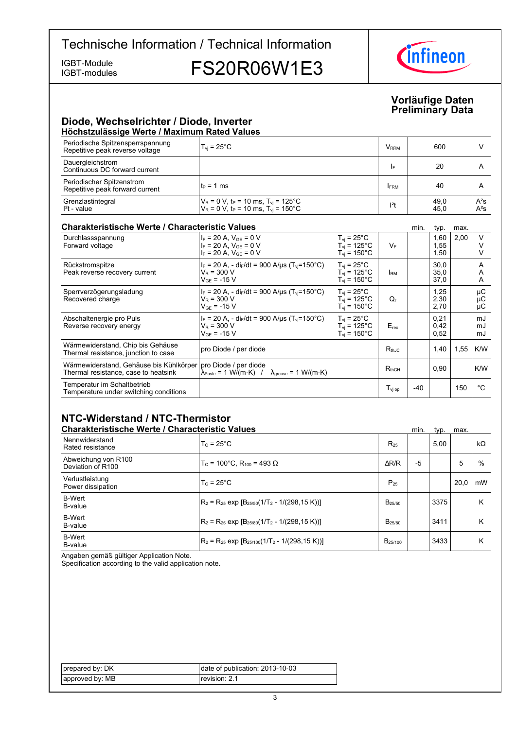IGBT-modules

IGBT-Module<br>IGBT-modules FS20R06W1E3



#### **Vorläufige-Daten Preliminary-Data**

#### **Diode,-Wechselrichter-/-Diode,-Inverter Höchstzulässige-Werte-/-Maximum-Rated-Values**

| Periodische Spitzensperrspannung<br>Repetitive peak reverse voltage | $T_{vi}$ = 25 $^{\circ}$ C                                                                                                            | <b>V</b> <sub>RRM</sub> | 600          |                  |
|---------------------------------------------------------------------|---------------------------------------------------------------------------------------------------------------------------------------|-------------------------|--------------|------------------|
| Dauergleichstrom<br>Continuous DC forward current                   |                                                                                                                                       | I۴                      | 20           |                  |
| Periodischer Spitzenstrom<br>Repetitive peak forward current        | $t_P = 1$ ms                                                                                                                          | <b>IFRM</b>             | 40           |                  |
| Grenzlastintegral<br>$I2t - value$                                  | $V_R$ = 0 V, t <sub>P</sub> = 10 ms, T <sub>vj</sub> = 125°C<br>V <sub>R</sub> = 0 V, t <sub>P</sub> = 10 ms, T <sub>vj</sub> = 150°C | $12$ t                  | 49,0<br>45,0 | $A^2S$<br>$A^2S$ |

#### **Charakteristische Werte / Characteristic**

| <b>Charakteristische Werte / Characteristic Values</b>                          |                                                                                                                       |                                                                            |                                         | min. | typ.                 | max. |                |
|---------------------------------------------------------------------------------|-----------------------------------------------------------------------------------------------------------------------|----------------------------------------------------------------------------|-----------------------------------------|------|----------------------|------|----------------|
| Durchlassspannung<br>Forward voltage                                            | $I_F = 20 A$ , $V_{GF} = 0 V$<br>$I_F = 20 A$ , $V_{GE} = 0 V$<br>$I_F = 20 A$ , $V_{GE} = 0 V$                       | $T_{vi}$ = 25°C<br>$T_{\rm vi}$ = 125°C<br>$T_{\rm vi}$ = 150 $^{\circ}$ C | $V_F$                                   |      | 1,60<br>1,55<br>1,50 | 2,00 | V              |
| Rückstromspitze<br>Peak reverse recovery current                                | $I_F$ = 20 A, - di <sub>F</sub> /dt = 900 A/µs (T <sub>vi</sub> =150°C)<br>$V_R = 300 V$<br>$V_{GF}$ = -15 V          | $T_{vi}$ = 25°C<br>$T_{\rm vi}$ = 125°C<br>$T_{\rm vi}$ = 150°C.           | <b>I</b> RM                             |      | 30,0<br>35,0<br>37,0 |      | A<br>A<br>A    |
| Sperrverzögerungsladung<br>Recovered charge                                     | $I_F$ = 20 A, - di <sub>F</sub> /dt = 900 A/us (T <sub>vi</sub> =150°C)<br>$V_R$ = 300 V<br>$V_{GF}$ = -15 V          | $T_{vi}$ = 25°C<br>$T_{\rm vi}$ = 125°C<br>$T_{\rm vi}$ = 150°C.           | Q,                                      |      | 1,25<br>2,30<br>2,70 |      | μC<br>μC<br>μC |
| Abschaltenergie pro Puls<br>Reverse recovery energy                             | $I_F = 20$ A, - di <sub>F</sub> /dt = 900 A/µs (T <sub>vi</sub> =150°C)<br>$V_R$ = 300 V<br>$V_{GF}$ = -15 V          | $T_{\rm vi}$ = 25°C<br>$T_{vi}$ = 125°C<br>$T_{\rm vi}$ = 150°C            | $E_{rec}$                               |      | 0,21<br>0,42<br>0,52 |      | mJ<br>mJ<br>mJ |
| Wärmewiderstand, Chip bis Gehäuse<br>Thermal resistance, junction to case       | pro Diode / per diode                                                                                                 |                                                                            | $R_{th,IC}$                             |      | 1,40                 | 1,55 | K/W            |
| Wärmewiderstand, Gehäuse bis Kühlkörper<br>Thermal resistance, case to heatsink | pro Diode / per diode<br>$\lambda_{\text{Paste}} = 1 \text{ W/(m·K)}$ / $\lambda_{\text{grease}} = 1 \text{ W/(m·K)}$ |                                                                            | $R_{thCH}$                              |      | 0.90                 |      | K/W            |
| Temperatur im Schaltbetrieb<br>Temperature under switching conditions           |                                                                                                                       |                                                                            | $\mathsf{T}_{\mathsf{vi}\,\mathsf{op}}$ | -40  |                      | 150  | °C             |

### **NTC-Widerstand-/-NTC-Thermistor**

| <b>Charakteristische Werte / Characteristic Values</b> |                                                          |                     | min. | typ. | max. |           |
|--------------------------------------------------------|----------------------------------------------------------|---------------------|------|------|------|-----------|
| Nennwiderstand<br>Rated resistance                     | $T_c = 25^{\circ}$ C                                     | $R_{25}$            |      | 5.00 |      | $k\Omega$ |
| Abweichung von R100<br>Deviation of R100               | $T_c$ = 100°C. R <sub>100</sub> = 493 Ω                  | AR/R                | $-5$ |      | 5    | %         |
| Verlustleistung<br>Power dissipation                   | $T_c = 25^{\circ}$ C                                     | $P_{25}$            |      |      | 20.0 | mW        |
| <b>B-Wert</b><br>B-value                               | $R_2 = R_{25}$ exp $[B_{25/50}(1/T_2 - 1/(298, 15 K))]$  | $B_{25/50}$         |      | 3375 |      | Κ         |
| <b>B-Wert</b><br>B-value                               | $R_2 = R_{25}$ exp $[B_{25/80}(1/T_2 - 1/(298.15 K))]$   | B <sub>25/80</sub>  |      | 3411 |      | Κ         |
| <b>B-Wert</b><br>B-value                               | $R_2 = R_{25}$ exp $[B_{25/100}(1/T_2 - 1/(298, 15 K))]$ | B <sub>25/100</sub> |      | 3433 |      | Κ         |

Angaben gemäß gültiger Application Note.

Specification according to the valid application note.

| prepared by: DK | date of publication: 2013-10-03 |
|-----------------|---------------------------------|
| approved by: MB | revision: 2.1                   |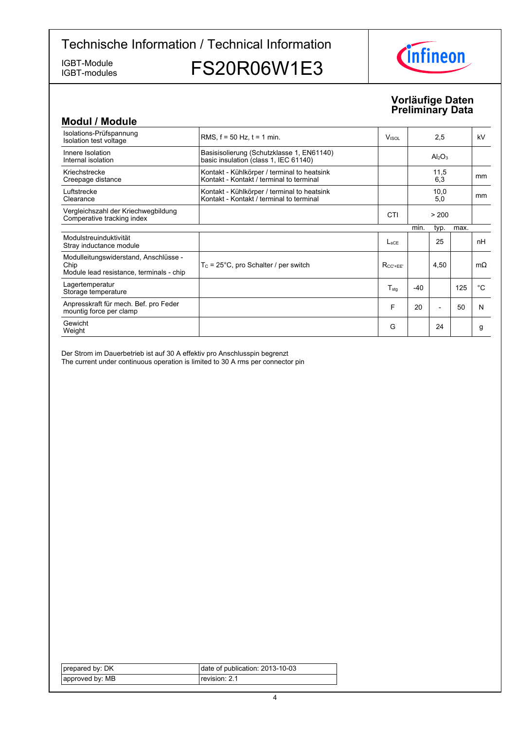IGBT-modules

IGBT-Module<br>IGBT-modules FS20R06W1E3



#### **Vorläufige-Daten Preliminary-Data**

| <b>Modul / Module</b>                                                                     |                                                                                         |                          |       |                                |      |           |
|-------------------------------------------------------------------------------------------|-----------------------------------------------------------------------------------------|--------------------------|-------|--------------------------------|------|-----------|
| Isolations-Prüfspannung<br>Isolation test voltage                                         | RMS, $f = 50$ Hz, $t = 1$ min.                                                          | <b>V</b> <sub>ISOL</sub> |       | 2,5                            |      | kV        |
| Innere Isolation<br>Internal isolation                                                    | Basisisolierung (Schutzklasse 1, EN61140)<br>basic insulation (class 1, IEC 61140)      |                          |       | Al <sub>2</sub> O <sub>3</sub> |      |           |
| Kriechstrecke<br>Creepage distance                                                        | Kontakt - Kühlkörper / terminal to heatsink<br>Kontakt - Kontakt / terminal to terminal |                          |       | 11,5<br>6,3                    |      | mm        |
| Luftstrecke<br>Clearance                                                                  | Kontakt - Kühlkörper / terminal to heatsink<br>Kontakt - Kontakt / terminal to terminal |                          |       | 10,0<br>5,0                    |      | mm        |
| Vergleichszahl der Kriechwegbildung<br>Comperative tracking index                         |                                                                                         | <b>CTI</b>               |       | > 200                          |      |           |
|                                                                                           |                                                                                         |                          | min.  | typ.                           | max. |           |
| Modulstreuinduktivität<br>Stray inductance module                                         |                                                                                         | $L_{\rm sCF}$            |       | 25                             |      | nH        |
| Modulleitungswiderstand, Anschlüsse -<br>Chip<br>Module lead resistance, terminals - chip | $T_c = 25^{\circ}$ C, pro Schalter / per switch                                         | $R_{CC' + FF'}$          |       | 4,50                           |      | $m\Omega$ |
| Lagertemperatur<br>Storage temperature                                                    |                                                                                         | $T_{\sf stg}$            | $-40$ |                                | 125  | °C        |
| Anpresskraft für mech. Bef. pro Feder<br>mountig force per clamp                          |                                                                                         | F                        | 20    |                                | 50   | N         |
| Gewicht<br>Weight                                                                         |                                                                                         | G                        |       | 24                             |      | g         |

Der Strom im Dauerbetrieb ist auf 30 A effektiv pro Anschlusspin begrenzt The current under continuous operation is limited to 30 A rms per connector pin

| prepared by: DK | date of publication: 2013-10-03 |
|-----------------|---------------------------------|
| approved by: MB | revision: 2.1                   |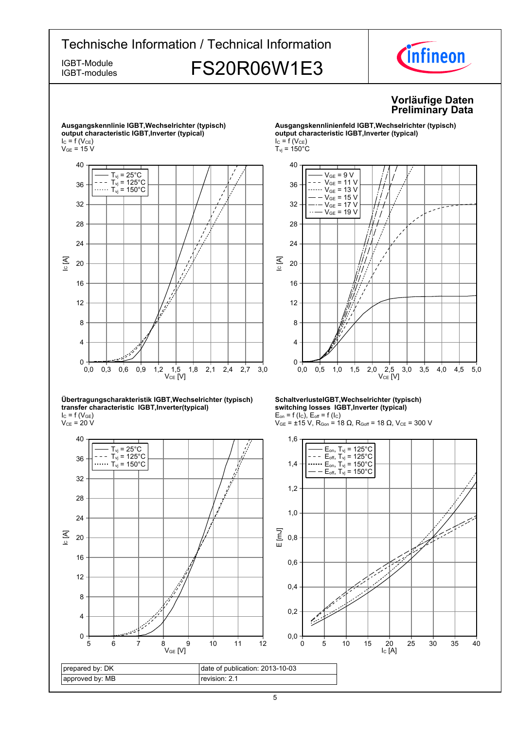# Technische Information / Technical Information IGBT-Module **FS20R06W1E3**



IGBT-modules

### **Vorläufige-Daten Preliminary-Data**



#### **Übertragungscharakteristik-IGBT,Wechselrichter-(typisch) transfer-characteristic--IGBT,Inverter(typical)**  $I_{C}$  = f (V<sub>GE</sub>)

 $\rm V_{CE}$  = 20 V



#### **Ausgangskennlinienfeld-IGBT,Wechselrichter-(typisch) output-characteristic-IGBT,Inverter-(typical)**  $I_C = f(V_{CE})$  $T_{\text{vj}}$  = 150 $^{\circ}$ C



#### **SchaltverlusteIGBT,Wechselrichter-(typisch) switching-losses--IGBT,Inverter-(typical)**  $E_{on}$  = f (l<sub>C</sub>),  $E_{off}$  = f (l<sub>C</sub>)



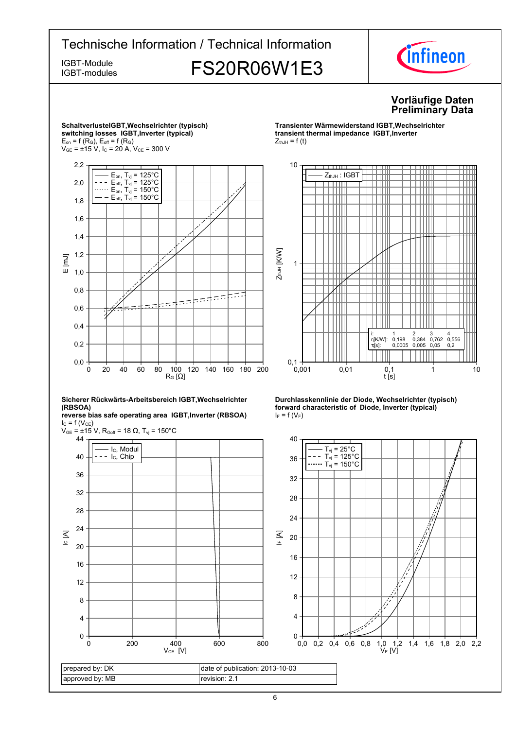

prepared by: DK approved by: MB date of publication: 2013-10-03 revision: 2.1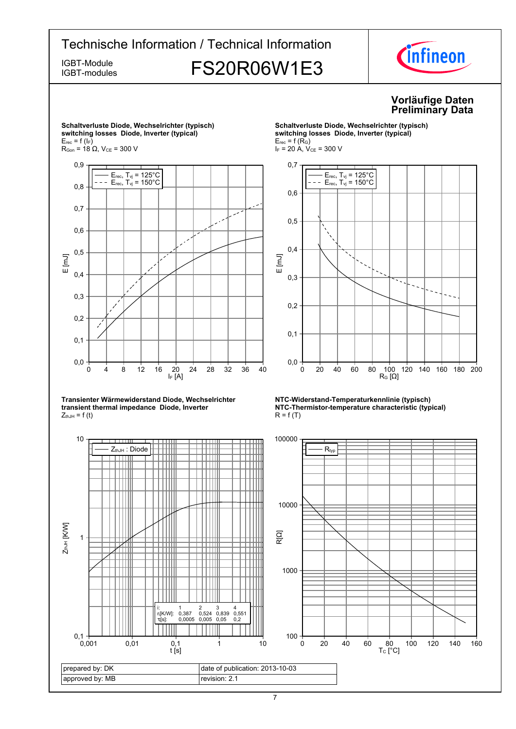IGBT-modules

prepared by: DK approved by: MB

 $0,1 +$ <br> $0.001$ 

# IGBT-Module<br>IGBT-modules FS20R06W1E3



#### **Vorläufige-Daten Preliminary-Data**



 $t$  [s]

### **Schaltverluste-Diode,-Wechselrichter-(typisch)**  $s$ witching losses Diode, Inverter (typical)

 $R_G$  [Ω] 0 20 40 60 80 100 120 140 160 180 200  $E_{rec}$ , T<sub>vj</sub> = 125°C  $E_{rec}$ , T<sub>vj</sub> = 150 $^{\circ}$ C

### **NTC-Widerstand-Temperaturkennlinie-(typisch) NTC-Thermistor-temperature-characteristic-(typical)**



7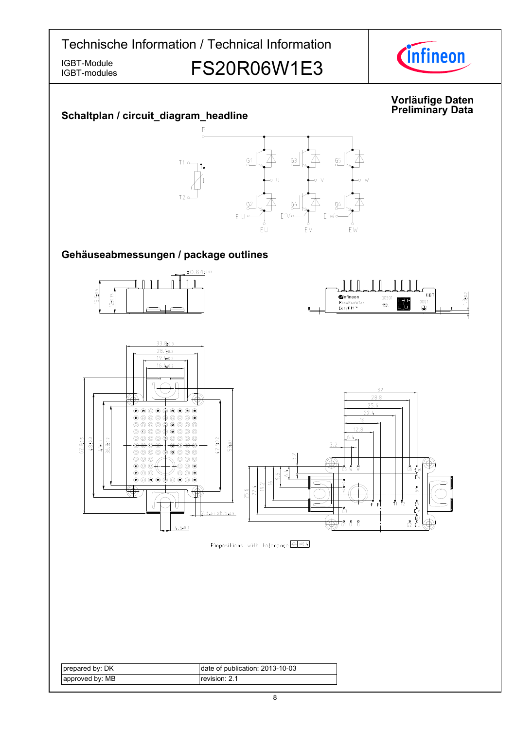IGBT-modules

# IGBT-Module<br>IGBT-Modules FS20R06W1E3